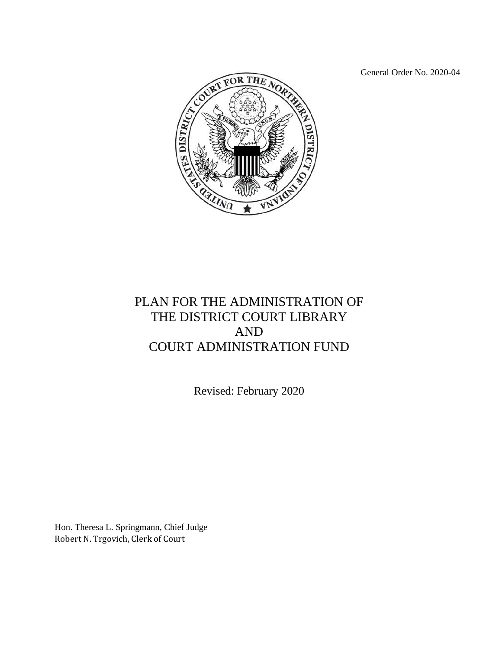General Order No. 2020-04



## PLAN FOR THE ADMINISTRATION OF THE DISTRICT COURT LIBRARY AND COURT ADMINISTRATION FUND

Revised: February 2020

Hon. Theresa L. Springmann, Chief Judge Robert N. Trgovich, Clerk of Court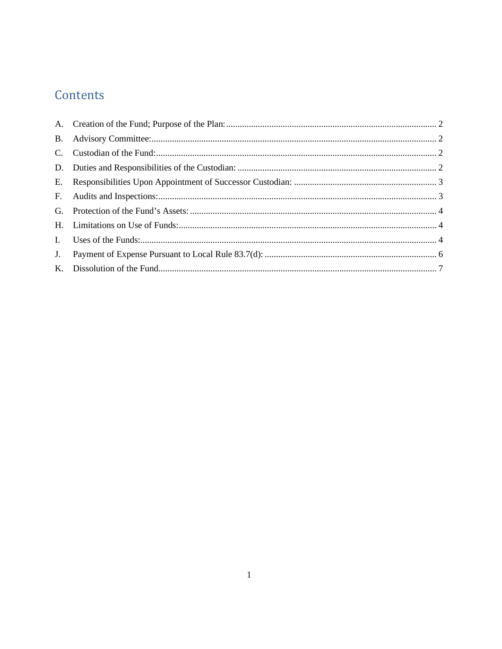# Contents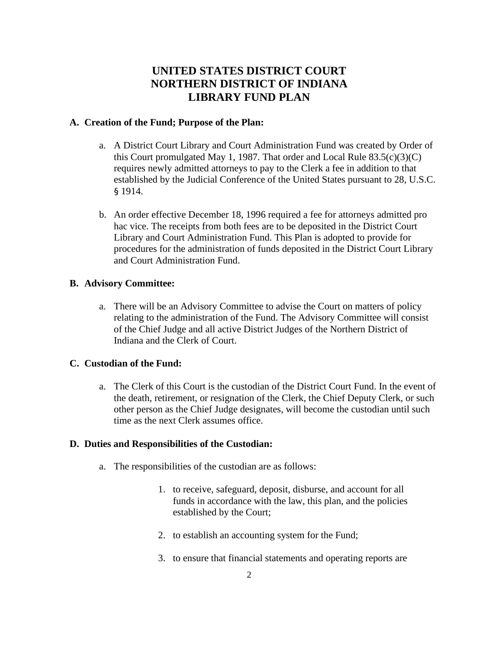### **UNITED STATES DISTRICT COURT NORTHERN DISTRICT OF INDIANA LIBRARY FUND PLAN**

#### <span id="page-2-0"></span>**A. Creation of the Fund; Purpose of the Plan:**

- a. A District Court Library and Court Administration Fund was created by Order of this Court promulgated May 1, 1987. That order and Local Rule  $83.5(c)(3)(C)$ requires newly admitted attorneys to pay to the Clerk a fee in addition to that established by the Judicial Conference of the United States pursuant to 28, U.S.C. § 1914.
- b. An order effective December 18, 1996 required a fee for attorneys admitted pro hac vice. The receipts from both fees are to be deposited in the District Court Library and Court Administration Fund. This Plan is adopted to provide for procedures for the administration of funds deposited in the District Court Library and Court Administration Fund.

#### <span id="page-2-1"></span>**B. Advisory Committee:**

a. There will be an Advisory Committee to advise the Court on matters of policy relating to the administration of the Fund. The Advisory Committee will consist of the Chief Judge and all active District Judges of the Northern District of Indiana and the Clerk of Court.

#### <span id="page-2-2"></span>**C. Custodian of the Fund:**

a. The Clerk of this Court is the custodian of the District Court Fund. In the event of the death, retirement, or resignation of the Clerk, the Chief Deputy Clerk, or such other person as the Chief Judge designates, will become the custodian until such time as the next Clerk assumes office.

#### <span id="page-2-3"></span>**D. Duties and Responsibilities of the Custodian:**

- a. The responsibilities of the custodian are as follows:
	- 1. to receive, safeguard, deposit, disburse, and account for all funds in accordance with the law, this plan, and the policies established by the Court;
	- 2. to establish an accounting system for the Fund;
	- 3. to ensure that financial statements and operating reports are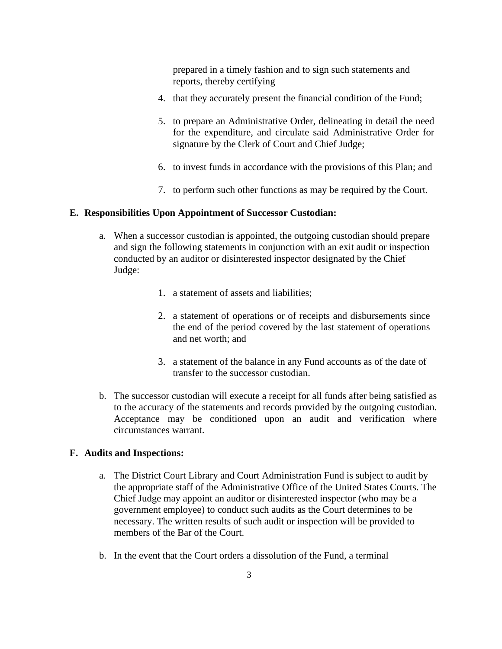prepared in a timely fashion and to sign such statements and reports, thereby certifying

- 4. that they accurately present the financial condition of the Fund;
- 5. to prepare an Administrative Order, delineating in detail the need for the expenditure, and circulate said Administrative Order for signature by the Clerk of Court and Chief Judge;
- 6. to invest funds in accordance with the provisions of this Plan; and
- 7. to perform such other functions as may be required by the Court.

#### <span id="page-3-0"></span>**E. Responsibilities Upon Appointment of Successor Custodian:**

- a. When a successor custodian is appointed, the outgoing custodian should prepare and sign the following statements in conjunction with an exit audit or inspection conducted by an auditor or disinterested inspector designated by the Chief Judge:
	- 1. a statement of assets and liabilities;
	- 2. a statement of operations or of receipts and disbursements since the end of the period covered by the last statement of operations and net worth; and
	- 3. a statement of the balance in any Fund accounts as of the date of transfer to the successor custodian.
- b. The successor custodian will execute a receipt for all funds after being satisfied as to the accuracy of the statements and records provided by the outgoing custodian. Acceptance may be conditioned upon an audit and verification where circumstances warrant.

#### <span id="page-3-1"></span>**F. Audits and Inspections:**

- a. The District Court Library and Court Administration Fund is subject to audit by the appropriate staff of the Administrative Office of the United States Courts. The Chief Judge may appoint an auditor or disinterested inspector (who may be a government employee) to conduct such audits as the Court determines to be necessary. The written results of such audit or inspection will be provided to members of the Bar of the Court.
- b. In the event that the Court orders a dissolution of the Fund, a terminal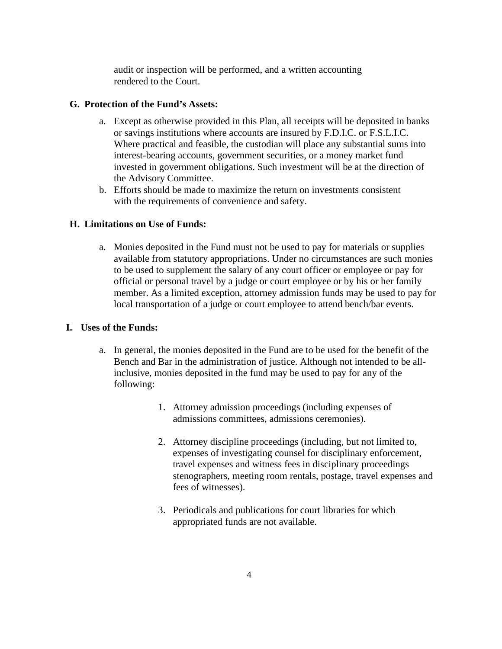audit or inspection will be performed, and a written accounting rendered to the Court.

#### <span id="page-4-0"></span>**G. Protection of the Fund's Assets:**

- a. Except as otherwise provided in this Plan, all receipts will be deposited in banks or savings institutions where accounts are insured by F.D.I.C. or F.S.L.I.C. Where practical and feasible, the custodian will place any substantial sums into interest-bearing accounts, government securities, or a money market fund invested in government obligations. Such investment will be at the direction of the Advisory Committee.
- b. Efforts should be made to maximize the return on investments consistent with the requirements of convenience and safety.

#### <span id="page-4-1"></span>**H. Limitations on Use of Funds:**

a. Monies deposited in the Fund must not be used to pay for materials or supplies available from statutory appropriations. Under no circumstances are such monies to be used to supplement the salary of any court officer or employee or pay for official or personal travel by a judge or court employee or by his or her family member. As a limited exception, attorney admission funds may be used to pay for local transportation of a judge or court employee to attend bench/bar events.

#### <span id="page-4-2"></span>**I. Uses of the Funds:**

- a. In general, the monies deposited in the Fund are to be used for the benefit of the Bench and Bar in the administration of justice. Although not intended to be allinclusive, monies deposited in the fund may be used to pay for any of the following:
	- 1. Attorney admission proceedings (including expenses of admissions committees, admissions ceremonies).
	- 2. Attorney discipline proceedings (including, but not limited to, expenses of investigating counsel for disciplinary enforcement, travel expenses and witness fees in disciplinary proceedings stenographers, meeting room rentals, postage, travel expenses and fees of witnesses).
	- 3. Periodicals and publications for court libraries for which appropriated funds are not available.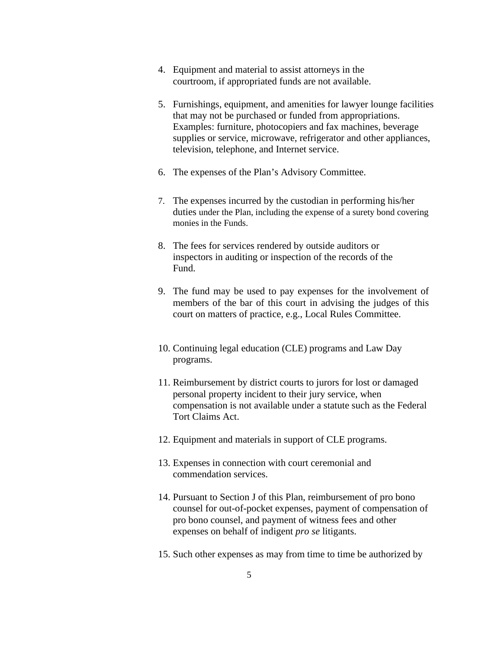- 4. Equipment and material to assist attorneys in the courtroom, if appropriated funds are not available.
- 5. Furnishings, equipment, and amenities for lawyer lounge facilities that may not be purchased or funded from appropriations. Examples: furniture, photocopiers and fax machines, beverage supplies or service, microwave, refrigerator and other appliances, television, telephone, and Internet service.
- 6. The expenses of the Plan's Advisory Committee.
- 7. The expenses incurred by the custodian in performing his/her duties under the Plan, including the expense of a surety bond covering monies in the Funds.
- 8. The fees for services rendered by outside auditors or inspectors in auditing or inspection of the records of the Fund.
- 9. The fund may be used to pay expenses for the involvement of members of the bar of this court in advising the judges of this court on matters of practice, e.g., Local Rules Committee.
- 10. Continuing legal education (CLE) programs and Law Day programs.
- 11. Reimbursement by district courts to jurors for lost or damaged personal property incident to their jury service, when compensation is not available under a statute such as the Federal Tort Claims Act.
- 12. Equipment and materials in support of CLE programs.
- 13. Expenses in connection with court ceremonial and commendation services.
- 14. Pursuant to Section J of this Plan, reimbursement of pro bono counsel for out-of-pocket expenses, payment of compensation of pro bono counsel, and payment of witness fees and other expenses on behalf of indigent *pro se* litigants.
- 15. Such other expenses as may from time to time be authorized by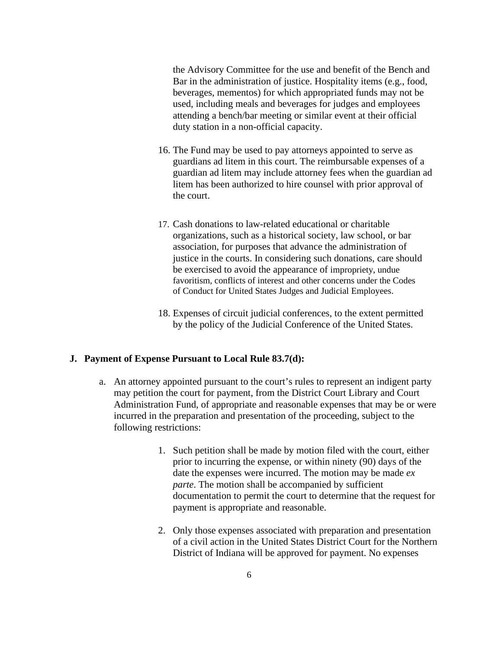the Advisory Committee for the use and benefit of the Bench and Bar in the administration of justice. Hospitality items (e.g., food, beverages, mementos) for which appropriated funds may not be used, including meals and beverages for judges and employees attending a bench/bar meeting or similar event at their official duty station in a non-official capacity.

- 16. The Fund may be used to pay attorneys appointed to serve as guardians ad litem in this court. The reimbursable expenses of a guardian ad litem may include attorney fees when the guardian ad litem has been authorized to hire counsel with prior approval of the court.
- 17. Cash donations to law-related educational or charitable organizations, such as a historical society, law school, or bar association, for purposes that advance the administration of justice in the courts. In considering such donations, care should be exercised to avoid the appearance of impropriety, undue favoritism, conflicts of interest and other concerns under the Codes of Conduct for United States Judges and Judicial Employees.
- 18. Expenses of circuit judicial conferences, to the extent permitted by the policy of the Judicial Conference of the United States.

#### <span id="page-6-0"></span>**J. Payment of Expense Pursuant to Local Rule 83.7(d):**

- a. An attorney appointed pursuant to the court's rules to represent an indigent party may petition the court for payment, from the District Court Library and Court Administration Fund, of appropriate and reasonable expenses that may be or were incurred in the preparation and presentation of the proceeding, subject to the following restrictions:
	- 1. Such petition shall be made by motion filed with the court, either prior to incurring the expense, or within ninety (90) days of the date the expenses were incurred. The motion may be made *ex parte*. The motion shall be accompanied by sufficient documentation to permit the court to determine that the request for payment is appropriate and reasonable.
	- 2. Only those expenses associated with preparation and presentation of a civil action in the United States District Court for the Northern District of Indiana will be approved for payment. No expenses